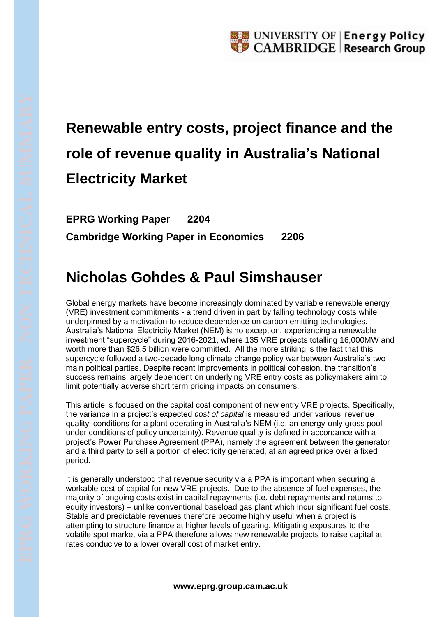## **Renewable entry costs, project finance and the role of revenue quality in Australia's National Electricity Market**

**EPRG Working Paper 2204 Cambridge Working Paper in Economics 2206**

## **Nicholas Gohdes & Paul Simshauser**

Global energy markets have become increasingly dominated by variable renewable energy (VRE) investment commitments - a trend driven in part by falling technology costs while underpinned by a motivation to reduce dependence on carbon emitting technologies. Australia's National Electricity Market (NEM) is no exception, experiencing a renewable investment "supercycle" during 2016-2021, where 135 VRE projects totalling 16,000MW and worth more than \$26.5 billion were committed. All the more striking is the fact that this supercycle followed a two-decade long climate change policy war between Australia's two main political parties. Despite recent improvements in political cohesion, the transition's success remains largely dependent on underlying VRE entry costs as policymakers aim to limit potentially adverse short term pricing impacts on consumers.

This article is focused on the capital cost component of new entry VRE projects. Specifically, the variance in a project's expected *cost of capital* is measured under various 'revenue quality' conditions for a plant operating in Australia's NEM (i.e. an energy-only gross pool under conditions of policy uncertainty). Revenue quality is defined in accordance with a project's Power Purchase Agreement (PPA), namely the agreement between the generator and a third party to sell a portion of electricity generated, at an agreed price over a fixed period.

It is generally understood that revenue security via a PPA is important when securing a workable cost of capital for new VRE projects. Due to the absence of fuel expenses, the majority of ongoing costs exist in capital repayments (i.e. debt repayments and returns to equity investors) – unlike conventional baseload gas plant which incur significant fuel costs. Stable and predictable revenues therefore become highly useful when a project is attempting to structure finance at higher levels of gearing. Mitigating exposures to the volatile spot market via a PPA therefore allows new renewable projects to raise capital at rates conducive to a lower overall cost of market entry.